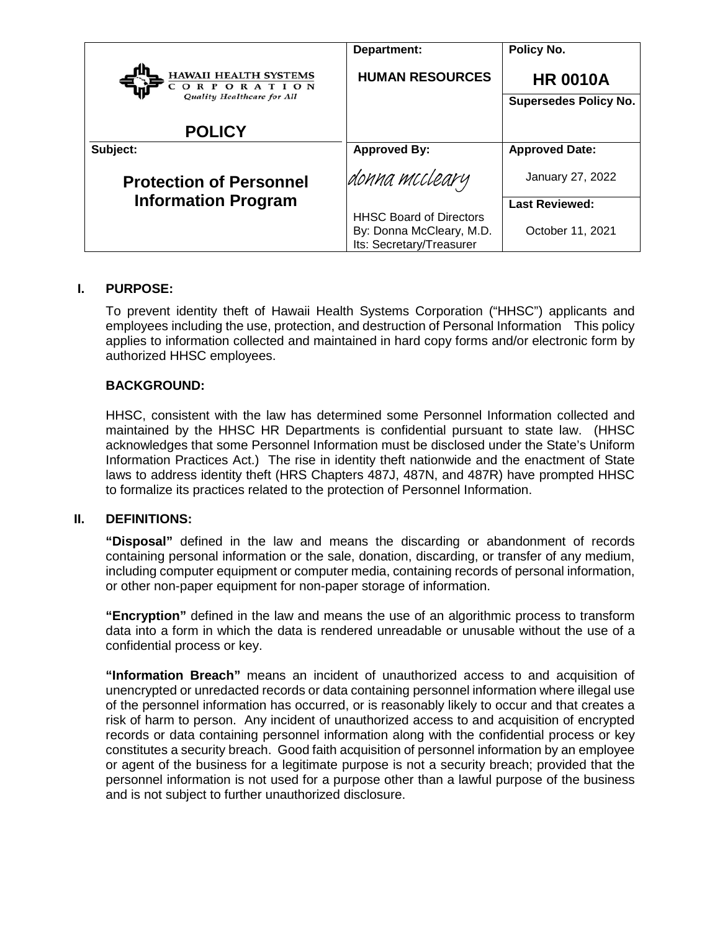|                                                                                       | Department:                                                                            | Policy No.                                      |
|---------------------------------------------------------------------------------------|----------------------------------------------------------------------------------------|-------------------------------------------------|
| <b>HAWAII HEALTH SYSTEMS</b><br>C O<br><b>RPORATION</b><br>Quality Healthcare for All | <b>HUMAN RESOURCES</b>                                                                 | <b>HR 0010A</b><br><b>Supersedes Policy No.</b> |
| <b>POLICY</b>                                                                         |                                                                                        |                                                 |
| Subject:                                                                              | <b>Approved By:</b>                                                                    | <b>Approved Date:</b>                           |
| <b>Protection of Personnel</b>                                                        | donna mccleary                                                                         | January 27, 2022                                |
| <b>Information Program</b>                                                            |                                                                                        | <b>Last Reviewed:</b>                           |
|                                                                                       | <b>HHSC Board of Directors</b><br>By: Donna McCleary, M.D.<br>Its: Secretary/Treasurer | October 11, 2021                                |

### **I. PURPOSE:**

To prevent identity theft of Hawaii Health Systems Corporation ("HHSC") applicants and employees including the use, protection, and destruction of Personal Information This policy applies to information collected and maintained in hard copy forms and/or electronic form by authorized HHSC employees.

### **BACKGROUND:**

HHSC, consistent with the law has determined some Personnel Information collected and maintained by the HHSC HR Departments is confidential pursuant to state law. (HHSC acknowledges that some Personnel Information must be disclosed under the State's Uniform Information Practices Act.) The rise in identity theft nationwide and the enactment of State laws to address identity theft (HRS Chapters 487J, 487N, and 487R) have prompted HHSC to formalize its practices related to the protection of Personnel Information.

#### **II. DEFINITIONS:**

**"Disposal"** defined in the law and means the discarding or abandonment of records containing personal information or the sale, donation, discarding, or transfer of any medium, including computer equipment or computer media, containing records of personal information, or other non-paper equipment for non-paper storage of information.

**"Encryption"** defined in the law and means the use of an algorithmic process to transform data into a form in which the data is rendered unreadable or unusable without the use of a confidential process or key.

**"Information Breach"** means an incident of unauthorized access to and acquisition of unencrypted or unredacted records or data containing personnel information where illegal use of the personnel information has occurred, or is reasonably likely to occur and that creates a risk of harm to person. Any incident of unauthorized access to and acquisition of encrypted records or data containing personnel information along with the confidential process or key constitutes a security breach. Good faith acquisition of personnel information by an employee or agent of the business for a legitimate purpose is not a security breach; provided that the personnel information is not used for a purpose other than a lawful purpose of the business and is not subject to further unauthorized disclosure.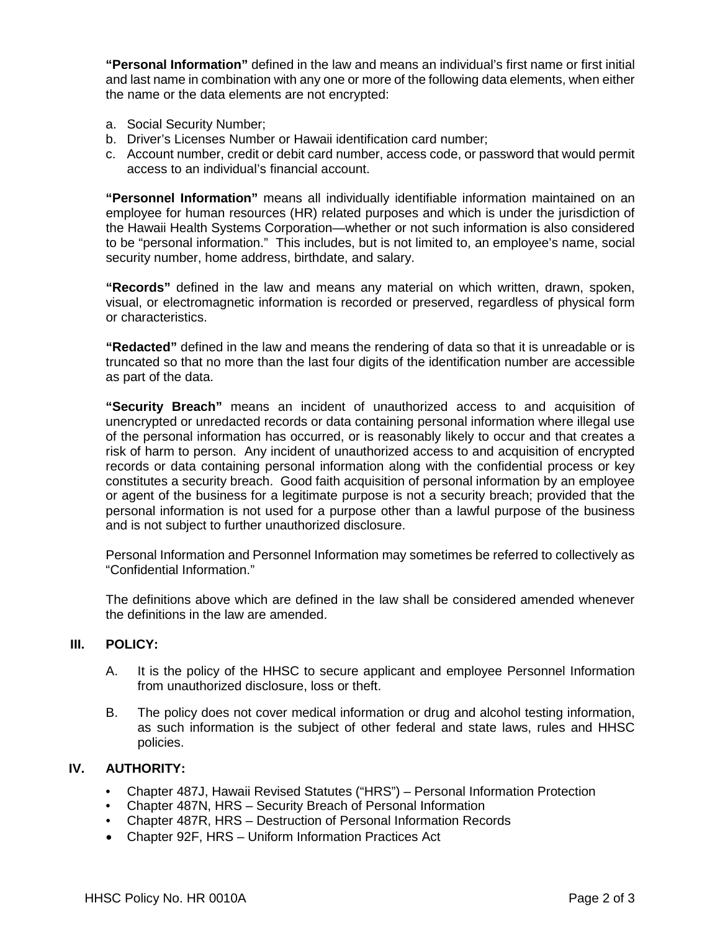**"Personal Information"** defined in the law and means an individual's first name or first initial and last name in combination with any one or more of the following data elements, when either the name or the data elements are not encrypted:

- a. Social Security Number;
- b. Driver's Licenses Number or Hawaii identification card number;
- c. Account number, credit or debit card number, access code, or password that would permit access to an individual's financial account.

**"Personnel Information"** means all individually identifiable information maintained on an employee for human resources (HR) related purposes and which is under the jurisdiction of the Hawaii Health Systems Corporation—whether or not such information is also considered to be "personal information." This includes, but is not limited to, an employee's name, social security number, home address, birthdate, and salary.

**"Records"** defined in the law and means any material on which written, drawn, spoken, visual, or electromagnetic information is recorded or preserved, regardless of physical form or characteristics.

**"Redacted"** defined in the law and means the rendering of data so that it is unreadable or is truncated so that no more than the last four digits of the identification number are accessible as part of the data.

**"Security Breach"** means an incident of unauthorized access to and acquisition of unencrypted or unredacted records or data containing personal information where illegal use of the personal information has occurred, or is reasonably likely to occur and that creates a risk of harm to person. Any incident of unauthorized access to and acquisition of encrypted records or data containing personal information along with the confidential process or key constitutes a security breach. Good faith acquisition of personal information by an employee or agent of the business for a legitimate purpose is not a security breach; provided that the personal information is not used for a purpose other than a lawful purpose of the business and is not subject to further unauthorized disclosure.

Personal Information and Personnel Information may sometimes be referred to collectively as "Confidential Information."

The definitions above which are defined in the law shall be considered amended whenever the definitions in the law are amended.

#### **III. POLICY:**

- A. It is the policy of the HHSC to secure applicant and employee Personnel Information from unauthorized disclosure, loss or theft.
- B. The policy does not cover medical information or drug and alcohol testing information, as such information is the subject of other federal and state laws, rules and HHSC policies.

#### **IV. AUTHORITY:**

- Chapter 487J, Hawaii Revised Statutes ("HRS") Personal Information Protection
- Chapter 487N, HRS Security Breach of Personal Information
- Chapter 487R, HRS Destruction of Personal Information Records
- Chapter 92F, HRS Uniform Information Practices Act